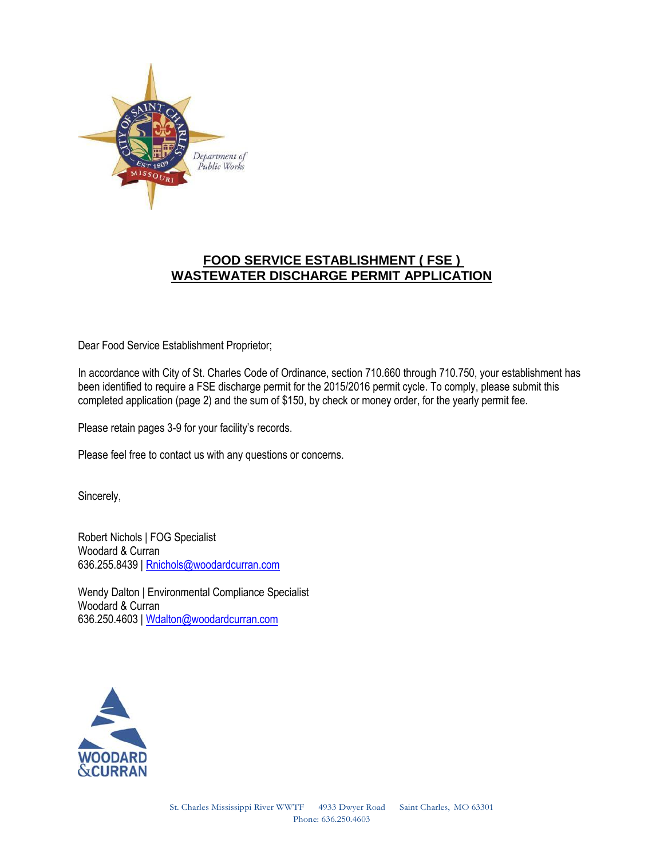

## **FOOD SERVICE ESTABLISHMENT ( FSE ) WASTEWATER DISCHARGE PERMIT APPLICATION**

Dear Food Service Establishment Proprietor;

In accordance with City of St. Charles Code of Ordinance, section 710.660 through 710.750, your establishment has been identified to require a FSE discharge permit for the 2015/2016 permit cycle. To comply, please submit this completed application (page 2) and the sum of \$150, by check or money order, for the yearly permit fee.

Please retain pages 3-9 for your facility's records.

Please feel free to contact us with any questions or concerns.

Sincerely,

Robert Nichols | FOG Specialist Woodard & Curran 636.255.8439 [| Rnichols@woodardcurran.com](mailto:Rnichols@woodardcurran.com)

Wendy Dalton | Environmental Compliance Specialist Woodard & Curran 636.250.4603 [| Wdalton@woodardcurran.com](mailto:Wdalton@woodardcurran.com)

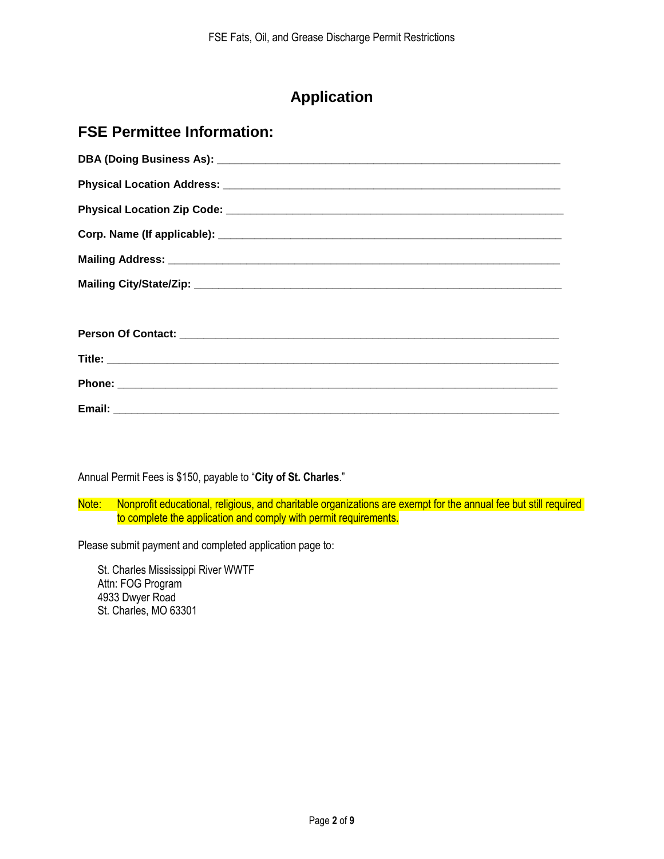# **Application**

## **FSE Permittee Information:**

Annual Permit Fees is \$150, payable to "**City of St. Charles**."

Note: Nonprofit educational, religious, and charitable organizations are exempt for the annual fee but still required to complete the application and comply with permit requirements.

Please submit payment and completed application page to:

St. Charles Mississippi River WWTF Attn: FOG Program 4933 Dwyer Road St. Charles, MO 63301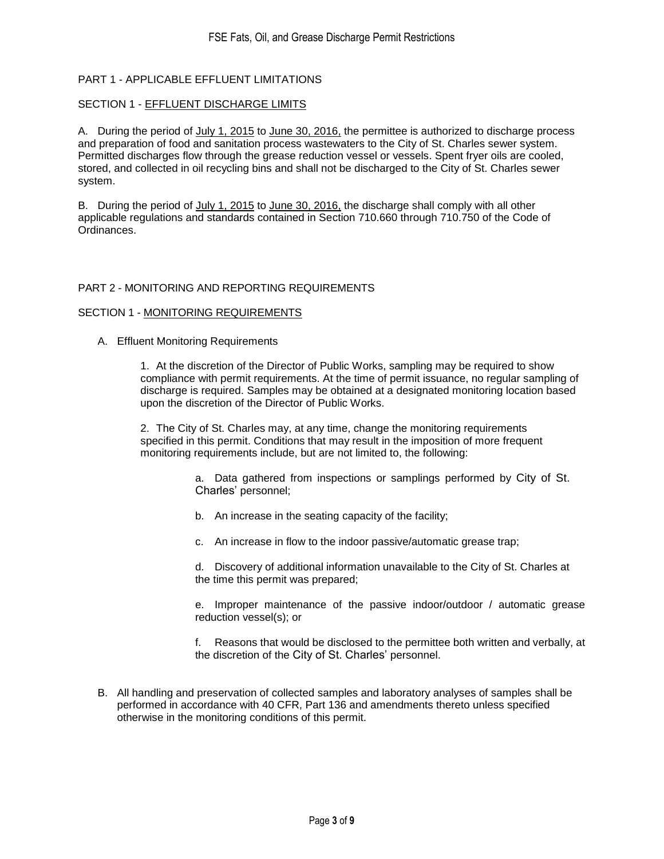## PART 1 - APPLICABLE EFFLUENT LIMITATIONS

### SECTION 1 - EFFLUENT DISCHARGE LIMITS

A. During the period of July 1, 2015 to June 30, 2016, the permittee is authorized to discharge process and preparation of food and sanitation process wastewaters to the City of St. Charles sewer system. Permitted discharges flow through the grease reduction vessel or vessels. Spent fryer oils are cooled, stored, and collected in oil recycling bins and shall not be discharged to the City of St. Charles sewer system.

B. During the period of July 1, 2015 to June 30, 2016, the discharge shall comply with all other applicable regulations and standards contained in Section 710.660 through 710.750 of the Code of Ordinances.

### PART 2 - MONITORING AND REPORTING REQUIREMENTS

### SECTION 1 - MONITORING REQUIREMENTS

A. Effluent Monitoring Requirements

1. At the discretion of the Director of Public Works, sampling may be required to show compliance with permit requirements. At the time of permit issuance, no regular sampling of discharge is required. Samples may be obtained at a designated monitoring location based upon the discretion of the Director of Public Works.

2. The City of St. Charles may, at any time, change the monitoring requirements specified in this permit. Conditions that may result in the imposition of more frequent monitoring requirements include, but are not limited to, the following:

> a. Data gathered from inspections or samplings performed by City of St. Charles' personnel;

- b. An increase in the seating capacity of the facility;
- c. An increase in flow to the indoor passive/automatic grease trap;

d. Discovery of additional information unavailable to the City of St. Charles at the time this permit was prepared;

e. Improper maintenance of the passive indoor/outdoor / automatic grease reduction vessel(s); or

f. Reasons that would be disclosed to the permittee both written and verbally, at the discretion of the City of St. Charles' personnel.

B. All handling and preservation of collected samples and laboratory analyses of samples shall be performed in accordance with 40 CFR, Part 136 and amendments thereto unless specified otherwise in the monitoring conditions of this permit.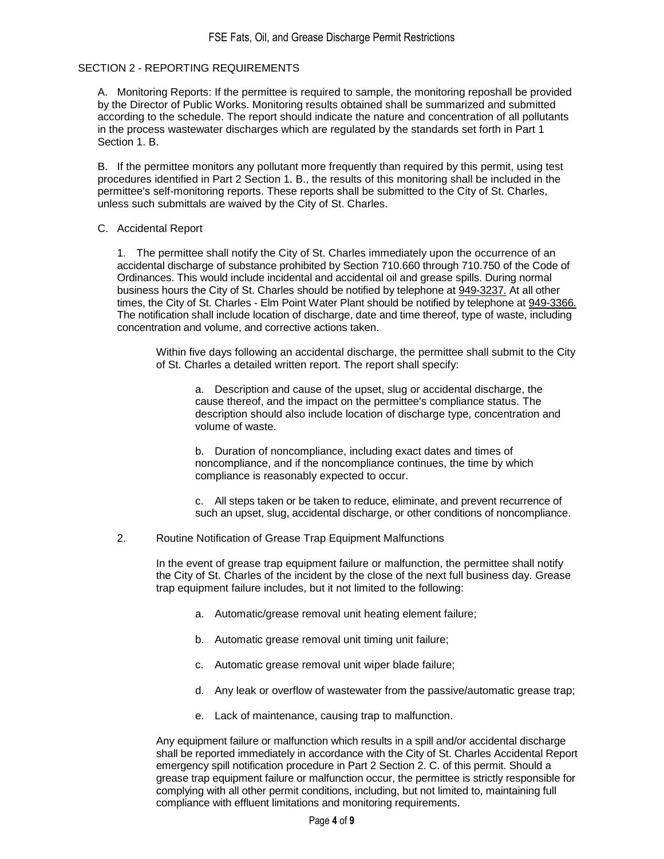## SECTION 2 - REPORTING REQUIREMENTS

A. Monitoring Reports: If the permittee is required to sample, the monitoring reposhall be provided by the Director of Public Works. Monitoring results obtained shall be summarized and submitted according to the schedule. The report should indicate the nature and concentration of all pollutants in the process wastewater discharges which are regulated by the standards set forth in Part 1 Section 1. B.

B. If the permittee monitors any pollutant more frequently than required by this permit, using test procedures identified in Part 2 Section 1. B., the results of this monitoring shall be included in the permittee's self-monitoring reports. These reports shall be submitted to the City of St. Charles, unless such submittals are waived by the City of St. Charles.

#### C. Accidental Report

1. The permittee shall notify the City of St. Charles immediately upon the occurrence of an accidental discharge of substance prohibited by Section 710.660 through 710.750 of the Code of Ordinances. This would include incidental and accidental oil and grease spills. During normal business hours the City of St. Charles should be notified by telephone at 949-3237. At all other times, the City of St. Charles - Elm Point Water Plant should be notified by telephone at 949-3366. The notification shall include location of discharge, date and time thereof, type of waste, including concentration and volume, and corrective actions taken.

Within five days following an accidental discharge, the permittee shall submit to the City of St. Charles a detailed written report. The report shall specify:

a. Description and cause of the upset, slug or accidental discharge, the cause thereof, and the impact on the permittee's compliance status. The description should also include location of discharge type, concentration and volume of waste.

b. Duration of noncompliance, including exact dates and times of noncompliance, and if the noncompliance continues, the time by which compliance is reasonably expected to occur.

c. All steps taken or be taken to reduce, eliminate, and prevent recurrence of such an upset, slug, accidental discharge, or other conditions of noncompliance.

2. Routine Notification of Grease Trap Equipment Malfunctions

In the event of grease trap equipment failure or malfunction, the permittee shall notify the City of St. Charles of the incident by the close of the next full business day. Grease trap equipment failure includes, but it not limited to the following:

- a. Automatic/grease removal unit heating element failure;
- b. Automatic grease removal unit timing unit failure;
- c. Automatic grease removal unit wiper blade failure;
- d. Any leak or overflow of wastewater from the passive/automatic grease trap;
- e. Lack of maintenance, causing trap to malfunction.

Any equipment failure or malfunction which results in a spill and/or accidental discharge shall be reported immediately in accordance with the City of St. Charles Accidental Report emergency spill notification procedure in Part 2 Section 2. C. of this permit. Should a grease trap equipment failure or malfunction occur, the permittee is strictly responsible for complying with all other permit conditions, including, but not limited to, maintaining full compliance with effluent limitations and monitoring requirements.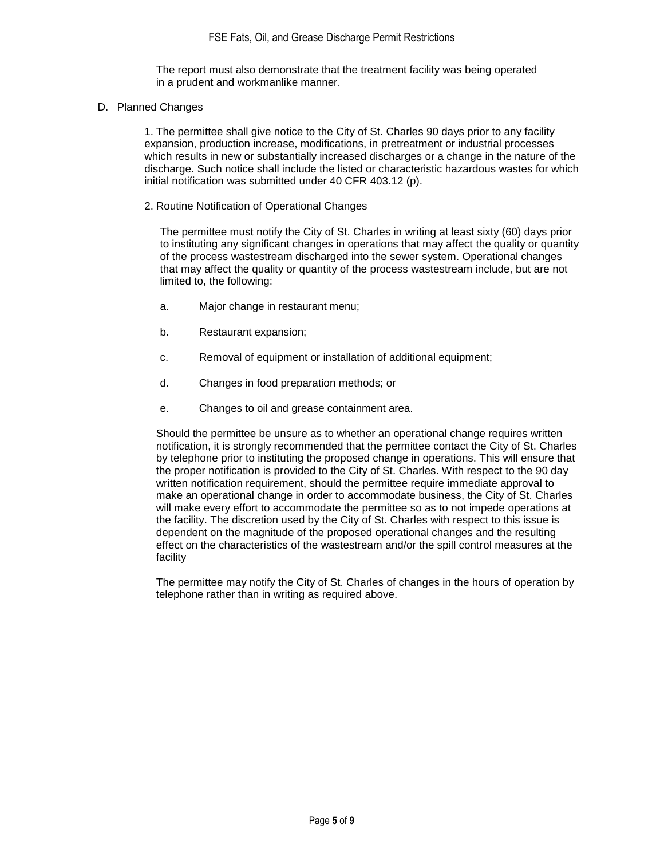The report must also demonstrate that the treatment facility was being operated in a prudent and workmanlike manner.

D. Planned Changes

1. The permittee shall give notice to the City of St. Charles 90 days prior to any facility expansion, production increase, modifications, in pretreatment or industrial processes which results in new or substantially increased discharges or a change in the nature of the discharge. Such notice shall include the listed or characteristic hazardous wastes for which initial notification was submitted under 40 CFR 403.12 (p).

2. Routine Notification of Operational Changes

The permittee must notify the City of St. Charles in writing at least sixty (60) days prior to instituting any significant changes in operations that may affect the quality or quantity of the process wastestream discharged into the sewer system. Operational changes that may affect the quality or quantity of the process wastestream include, but are not limited to, the following:

- a. Major change in restaurant menu;
- b. Restaurant expansion;
- c. Removal of equipment or installation of additional equipment;
- d. Changes in food preparation methods; or
- e. Changes to oil and grease containment area.

Should the permittee be unsure as to whether an operational change requires written notification, it is strongly recommended that the permittee contact the City of St. Charles by telephone prior to instituting the proposed change in operations. This will ensure that the proper notification is provided to the City of St. Charles. With respect to the 90 day written notification requirement, should the permittee require immediate approval to make an operational change in order to accommodate business, the City of St. Charles will make every effort to accommodate the permittee so as to not impede operations at the facility. The discretion used by the City of St. Charles with respect to this issue is dependent on the magnitude of the proposed operational changes and the resulting effect on the characteristics of the wastestream and/or the spill control measures at the facility

The permittee may notify the City of St. Charles of changes in the hours of operation by telephone rather than in writing as required above.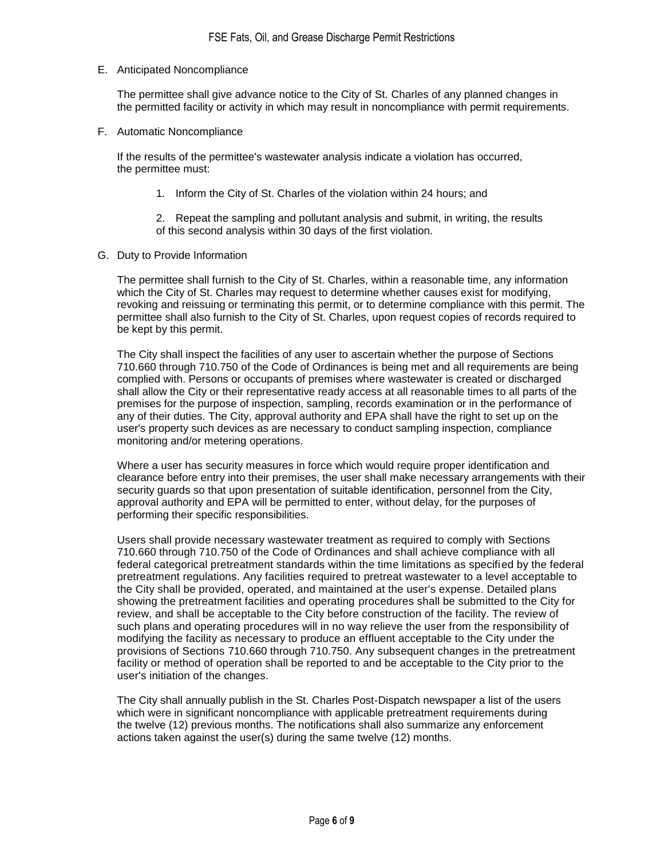E. Anticipated Noncompliance

The permittee shall give advance notice to the City of St. Charles of any planned changes in the permitted facility or activity in which may result in noncompliance with permit requirements.

F. Automatic Noncompliance

If the results of the permittee's wastewater analysis indicate a violation has occurred, the permittee must:

1. Inform the City of St. Charles of the violation within 24 hours; and

2. Repeat the sampling and pollutant analysis and submit, in writing, the results of this second analysis within 30 days of the first violation.

G. Duty to Provide Information

The permittee shall furnish to the City of St. Charles, within a reasonable time, any information which the City of St. Charles may request to determine whether causes exist for modifying, revoking and reissuing or terminating this permit, or to determine compliance with this permit. The permittee shall also furnish to the City of St. Charles, upon request copies of records required to be kept by this permit.

The City shall inspect the facilities of any user to ascertain whether the purpose of Sections 710.660 through 710.750 of the Code of Ordinances is being met and all requirements are being complied with. Persons or occupants of premises where wastewater is created or discharged shall allow the City or their representative ready access at all reasonable times to all parts of the premises for the purpose of inspection, sampling, records examination or in the performance of any of their duties. The City, approval authority and EPA shall have the right to set up on the user's property such devices as are necessary to conduct sampling inspection, compliance monitoring and/or metering operations.

Where a user has security measures in force which would require proper identification and clearance before entry into their premises, the user shall make necessary arrangements with their security guards so that upon presentation of suitable identification, personnel from the City, approval authority and EPA will be permitted to enter, without delay, for the purposes of performing their specific responsibilities.

Users shall provide necessary wastewater treatment as required to comply with Sections 710.660 through 710.750 of the Code of Ordinances and shall achieve compliance with all federal categorical pretreatment standards within the time limitations as specified by the federal pretreatment regulations. Any facilities required to pretreat wastewater to a level acceptable to the City shall be provided, operated, and maintained at the user's expense. Detailed plans showing the pretreatment facilities and operating procedures shall be submitted to the City for review, and shall be acceptable to the City before construction of the facility. The review of such plans and operating procedures will in no way relieve the user from the responsibility of modifying the facility as necessary to produce an effluent acceptable to the City under the provisions of Sections 710.660 through 710.750. Any subsequent changes in the pretreatment facility or method of operation shall be reported to and be acceptable to the City prior to the user's initiation of the changes.

The City shall annually publish in the St. Charles Post-Dispatch newspaper a list of the users which were in significant noncompliance with applicable pretreatment requirements during the twelve (12) previous months. The notifications shall also summarize any enforcement actions taken against the user(s) during the same twelve (12) months.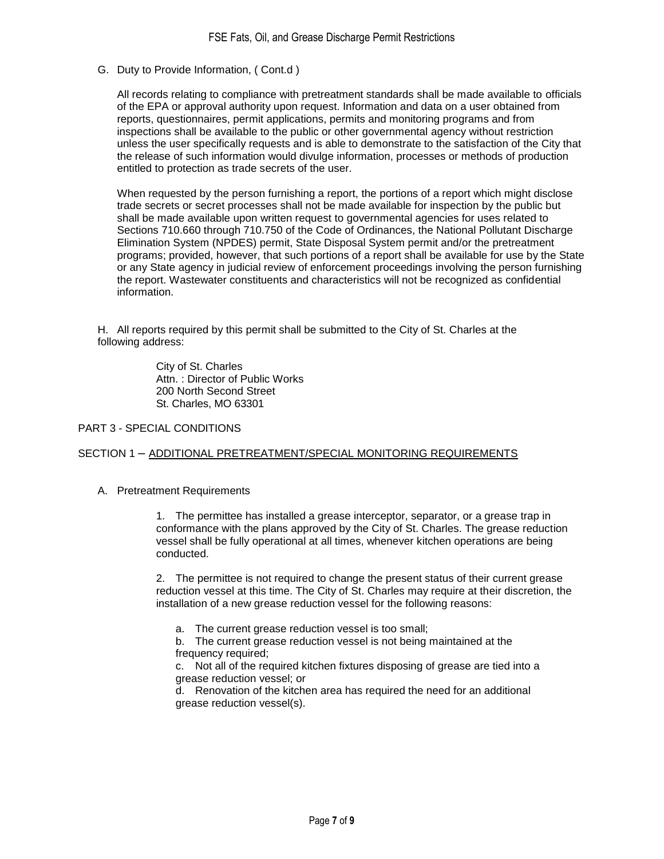G. Duty to Provide Information, ( Cont.d )

All records relating to compliance with pretreatment standards shall be made available to officials of the EPA or approval authority upon request. Information and data on a user obtained from reports, questionnaires, permit applications, permits and monitoring programs and from inspections shall be available to the public or other governmental agency without restriction unless the user specifically requests and is able to demonstrate to the satisfaction of the City that the release of such information would divulge information, processes or methods of production entitled to protection as trade secrets of the user.

When requested by the person furnishing a report, the portions of a report which might disclose trade secrets or secret processes shall not be made available for inspection by the public but shall be made available upon written request to governmental agencies for uses related to Sections 710.660 through 710.750 of the Code of Ordinances, the National Pollutant Discharge Elimination System (NPDES) permit, State Disposal System permit and/or the pretreatment programs; provided, however, that such portions of a report shall be available for use by the State or any State agency in judicial review of enforcement proceedings involving the person furnishing the report. Wastewater constituents and characteristics will not be recognized as confidential information.

H. All reports required by this permit shall be submitted to the City of St. Charles at the following address:

> City of St. Charles Attn. : Director of Public Works 200 North Second Street St. Charles, MO 63301

#### PART 3 - SPECIAL CONDITIONS

### SECTION 1 – ADDITIONAL PRETREATMENT/SPECIAL MONITORING REQUIREMENTS

### A. Pretreatment Requirements

1. The permittee has installed a grease interceptor, separator, or a grease trap in conformance with the plans approved by the City of St. Charles. The grease reduction vessel shall be fully operational at all times, whenever kitchen operations are being conducted.

2. The permittee is not required to change the present status of their current grease reduction vessel at this time. The City of St. Charles may require at their discretion, the installation of a new grease reduction vessel for the following reasons:

- a. The current grease reduction vessel is too small;
- b. The current grease reduction vessel is not being maintained at the frequency required;

c. Not all of the required kitchen fixtures disposing of grease are tied into a grease reduction vessel; or

d. Renovation of the kitchen area has required the need for an additional grease reduction vessel(s).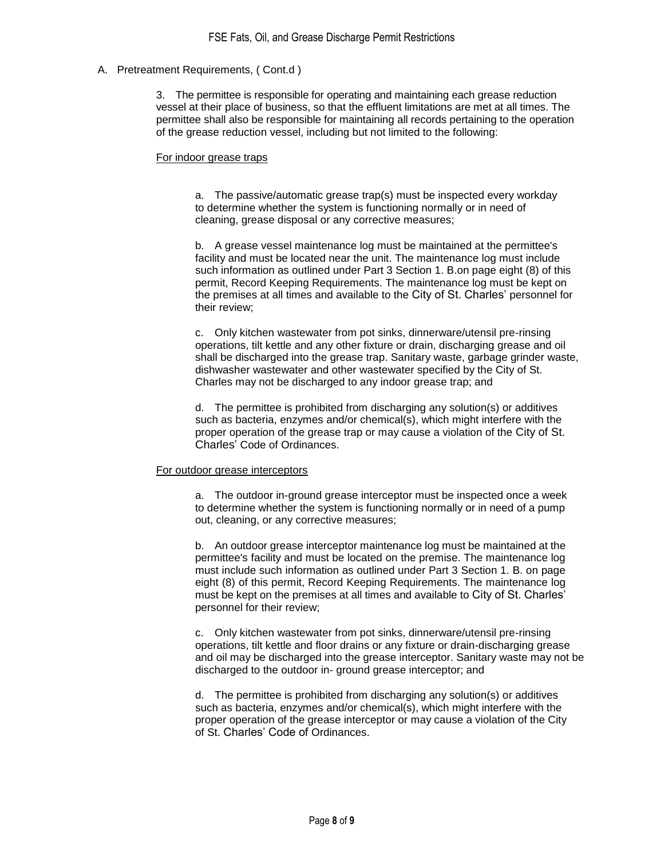## A. Pretreatment Requirements, ( Cont.d )

3. The permittee is responsible for operating and maintaining each grease reduction vessel at their place of business, so that the effluent limitations are met at all times. The permittee shall also be responsible for maintaining all records pertaining to the operation of the grease reduction vessel, including but not limited to the following:

#### For indoor grease traps

a. The passive/automatic grease trap(s) must be inspected every workday to determine whether the system is functioning normally or in need of cleaning, grease disposal or any corrective measures;

b. A grease vessel maintenance log must be maintained at the permittee's facility and must be located near the unit. The maintenance log must include such information as outlined under Part 3 Section 1. B.on page eight (8) of this permit, Record Keeping Requirements. The maintenance log must be kept on the premises at all times and available to the City of St. Charles' personnel for their review;

c. Only kitchen wastewater from pot sinks, dinnerware/utensil pre-rinsing operations, tilt kettle and any other fixture or drain, discharging grease and oil shall be discharged into the grease trap. Sanitary waste, garbage grinder waste, dishwasher wastewater and other wastewater specified by the City of St. Charles may not be discharged to any indoor grease trap; and

d. The permittee is prohibited from discharging any solution(s) or additives such as bacteria, enzymes and/or chemical(s), which might interfere with the proper operation of the grease trap or may cause a violation of the City of St. Charles' Code of Ordinances.

#### For outdoor grease interceptors

a. The outdoor in-ground grease interceptor must be inspected once a week to determine whether the system is functioning normally or in need of a pump out, cleaning, or any corrective measures;

b. An outdoor grease interceptor maintenance log must be maintained at the permittee's facility and must be located on the premise. The maintenance log must include such information as outlined under Part 3 Section 1. B. on page eight (8) of this permit, Record Keeping Requirements. The maintenance log must be kept on the premises at all times and available to City of St. Charles' personnel for their review;

c. Only kitchen wastewater from pot sinks, dinnerware/utensil pre-rinsing operations, tilt kettle and floor drains or any fixture or drain-discharging grease and oil may be discharged into the grease interceptor. Sanitary waste may not be discharged to the outdoor in- ground grease interceptor; and

d. The permittee is prohibited from discharging any solution(s) or additives such as bacteria, enzymes and/or chemical(s), which might interfere with the proper operation of the grease interceptor or may cause a violation of the City of St. Charles' Code of Ordinances.